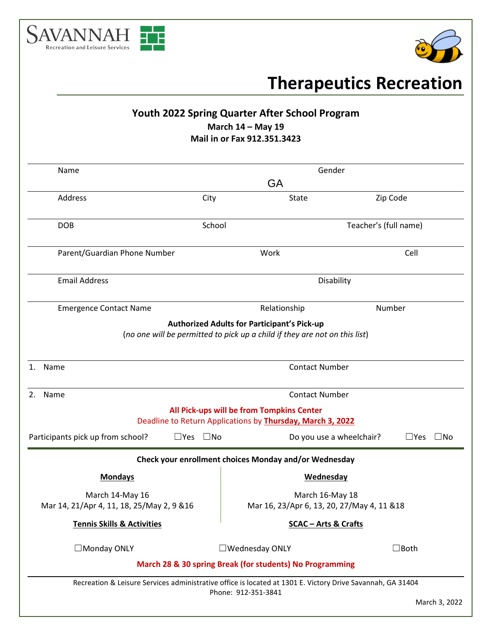



# **Therapeutics Recreation**

# **Youth 2022 Spring Quarter After School Program March 14 – May 19**

## **Mail in or Fax 912.351.3423**

| Gender<br>Name                                                                                             |                                                                                      |                                                                            |                |  |
|------------------------------------------------------------------------------------------------------------|--------------------------------------------------------------------------------------|----------------------------------------------------------------------------|----------------|--|
|                                                                                                            | GA                                                                                   |                                                                            |                |  |
| Address                                                                                                    | City                                                                                 | State                                                                      | Zip Code       |  |
| <b>DOB</b>                                                                                                 | School                                                                               | Teacher's (full name)                                                      |                |  |
| Parent/Guardian Phone Number                                                                               |                                                                                      | Work                                                                       | Cell           |  |
| <b>Email Address</b>                                                                                       |                                                                                      | Disability                                                                 |                |  |
| <b>Emergence Contact Name</b>                                                                              |                                                                                      | Relationship                                                               | Number         |  |
|                                                                                                            |                                                                                      | <b>Authorized Adults for Participant's Pick-up</b>                         |                |  |
|                                                                                                            |                                                                                      | (no one will be permitted to pick up a child if they are not on this list) |                |  |
| Name<br>1.                                                                                                 | <b>Contact Number</b>                                                                |                                                                            |                |  |
| Name<br>2.                                                                                                 | <b>Contact Number</b>                                                                |                                                                            |                |  |
|                                                                                                            |                                                                                      | All Pick-ups will be from Tompkins Center                                  |                |  |
|                                                                                                            |                                                                                      | Deadline to Return Applications by Thursday, March 3, 2022                 |                |  |
| Participants pick up from school?                                                                          | $\square$ Yes $\square$ No<br>$\square$ Yes $\square$ No<br>Do you use a wheelchair? |                                                                            |                |  |
|                                                                                                            |                                                                                      | Check your enrollment choices Monday and/or Wednesday                      |                |  |
| <b>Mondays</b>                                                                                             |                                                                                      | <b>Wednesday</b>                                                           |                |  |
| March 14-May 16                                                                                            | March 16-May 18                                                                      |                                                                            |                |  |
| Mar 14, 21/Apr 4, 11, 18, 25/May 2, 9 & 16                                                                 |                                                                                      | Mar 16, 23/Apr 6, 13, 20, 27/May 4, 11 & 18                                |                |  |
| <b>Tennis Skills &amp; Activities</b>                                                                      |                                                                                      | <b>SCAC - Arts &amp; Crafts</b>                                            |                |  |
| $\Box$ Monday ONLY                                                                                         |                                                                                      | $\square$ Wednesday ONLY                                                   | $\square$ Both |  |
|                                                                                                            |                                                                                      | March 28 & 30 spring Break (for students) No Programming                   |                |  |
| Recreation & Leisure Services administrative office is located at 1301 E. Victory Drive Savannah, GA 31404 |                                                                                      |                                                                            |                |  |
|                                                                                                            | Phone: 912-351-3841                                                                  |                                                                            | March 3, 2022  |  |